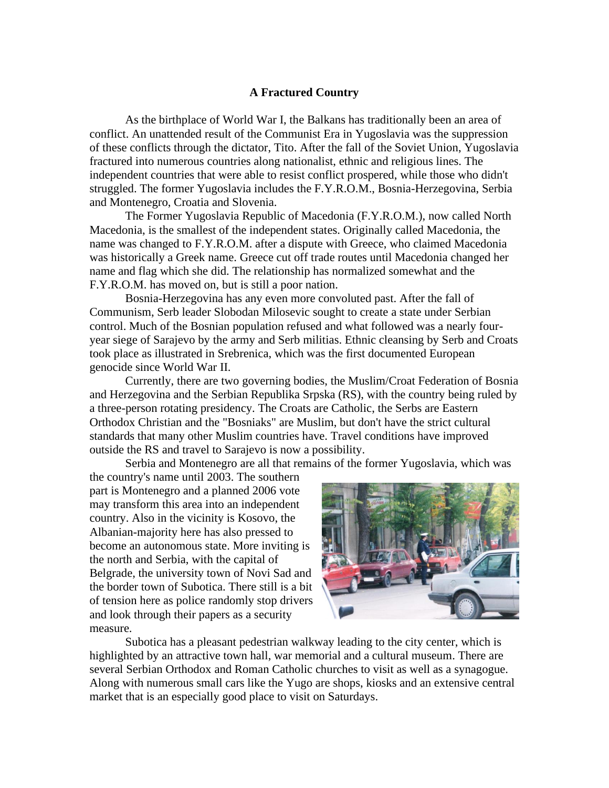## **A Fractured Country**

As the birthplace of World War I, the Balkans has traditionally been an area of conflict. An unattended result of the Communist Era in Yugoslavia was the suppression of these conflicts through the dictator, Tito. After the fall of the Soviet Union, Yugoslavia fractured into numerous countries along nationalist, ethnic and religious lines. The independent countries that were able to resist conflict prospered, while those who didn't struggled. The former Yugoslavia includes the F.Y.R.O.M., Bosnia-Herzegovina, Serbia and Montenegro, Croatia and Slovenia.

The Former Yugoslavia Republic of Macedonia (F.Y.R.O.M.), now called North Macedonia, is the smallest of the independent states. Originally called Macedonia, the name was changed to F.Y.R.O.M. after a dispute with Greece, who claimed Macedonia was historically a Greek name. Greece cut off trade routes until Macedonia changed her name and flag which she did. The relationship has normalized somewhat and the F.Y.R.O.M. has moved on, but is still a poor nation.

Bosnia-Herzegovina has any even more convoluted past. After the fall of Communism, Serb leader Slobodan Milosevic sought to create a state under Serbian control. Much of the Bosnian population refused and what followed was a nearly fouryear siege of Sarajevo by the army and Serb militias. Ethnic cleansing by Serb and Croats took place as illustrated in Srebrenica, which was the first documented European genocide since World War II.

Currently, there are two governing bodies, the Muslim/Croat Federation of Bosnia and Herzegovina and the Serbian Republika Srpska (RS), with the country being ruled by a three-person rotating presidency. The Croats are Catholic, the Serbs are Eastern Orthodox Christian and the "Bosniaks" are Muslim, but don't have the strict cultural standards that many other Muslim countries have. Travel conditions have improved outside the RS and travel to Sarajevo is now a possibility.

Serbia and Montenegro are all that remains of the former Yugoslavia, which was

the country's name until 2003. The southern part is Montenegro and a planned 2006 vote may transform this area into an independent country. Also in the vicinity is Kosovo, the Albanian-majority here has also pressed to become an autonomous state. More inviting is the north and Serbia, with the capital of Belgrade, the university town of Novi Sad and the border town of Subotica. There still is a bit of tension here as police randomly stop drivers and look through their papers as a security measure.



Subotica has a pleasant pedestrian walkway leading to the city center, which is highlighted by an attractive town hall, war memorial and a cultural museum. There are several Serbian Orthodox and Roman Catholic churches to visit as well as a synagogue. Along with numerous small cars like the Yugo are shops, kiosks and an extensive central market that is an especially good place to visit on Saturdays.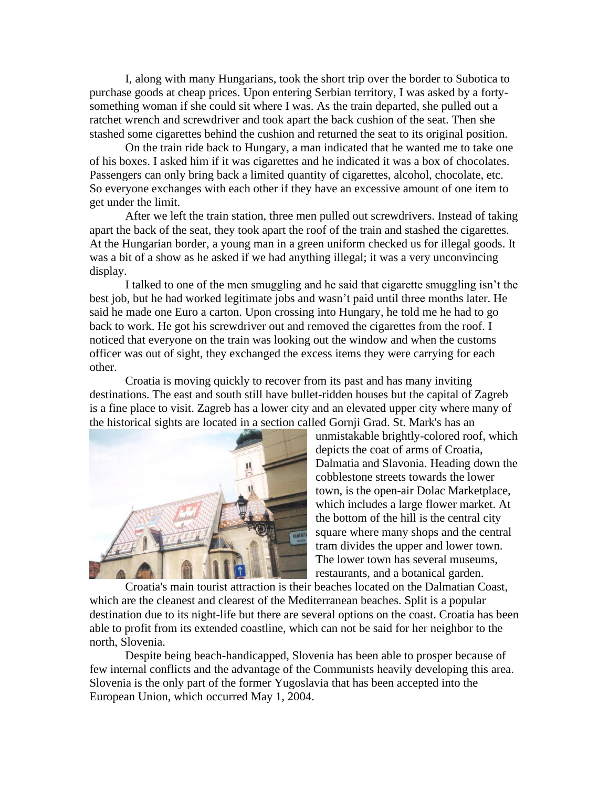I, along with many Hungarians, took the short trip over the border to Subotica to purchase goods at cheap prices. Upon entering Serbian territory, I was asked by a fortysomething woman if she could sit where I was. As the train departed, she pulled out a ratchet wrench and screwdriver and took apart the back cushion of the seat. Then she stashed some cigarettes behind the cushion and returned the seat to its original position.

On the train ride back to Hungary, a man indicated that he wanted me to take one of his boxes. I asked him if it was cigarettes and he indicated it was a box of chocolates. Passengers can only bring back a limited quantity of cigarettes, alcohol, chocolate, etc. So everyone exchanges with each other if they have an excessive amount of one item to get under the limit.

After we left the train station, three men pulled out screwdrivers. Instead of taking apart the back of the seat, they took apart the roof of the train and stashed the cigarettes. At the Hungarian border, a young man in a green uniform checked us for illegal goods. It was a bit of a show as he asked if we had anything illegal; it was a very unconvincing display.

I talked to one of the men smuggling and he said that cigarette smuggling isn't the best job, but he had worked legitimate jobs and wasn't paid until three months later. He said he made one Euro a carton. Upon crossing into Hungary, he told me he had to go back to work. He got his screwdriver out and removed the cigarettes from the roof. I noticed that everyone on the train was looking out the window and when the customs officer was out of sight, they exchanged the excess items they were carrying for each other.

Croatia is moving quickly to recover from its past and has many inviting destinations. The east and south still have bullet-ridden houses but the capital of Zagreb is a fine place to visit. Zagreb has a lower city and an elevated upper city where many of the historical sights are located in a section called Gornji Grad. St. Mark's has an



unmistakable brightly-colored roof, which depicts the coat of arms of Croatia, Dalmatia and Slavonia. Heading down the cobblestone streets towards the lower town, is the open-air Dolac Marketplace, which includes a large flower market. At the bottom of the hill is the central city square where many shops and the central tram divides the upper and lower town. The lower town has several museums, restaurants, and a botanical garden.

Croatia's main tourist attraction is their beaches located on the Dalmatian Coast, which are the cleanest and clearest of the Mediterranean beaches. Split is a popular destination due to its night-life but there are several options on the coast. Croatia has been able to profit from its extended coastline, which can not be said for her neighbor to the north, Slovenia.

Despite being beach-handicapped, Slovenia has been able to prosper because of few internal conflicts and the advantage of the Communists heavily developing this area. Slovenia is the only part of the former Yugoslavia that has been accepted into the European Union, which occurred May 1, 2004.